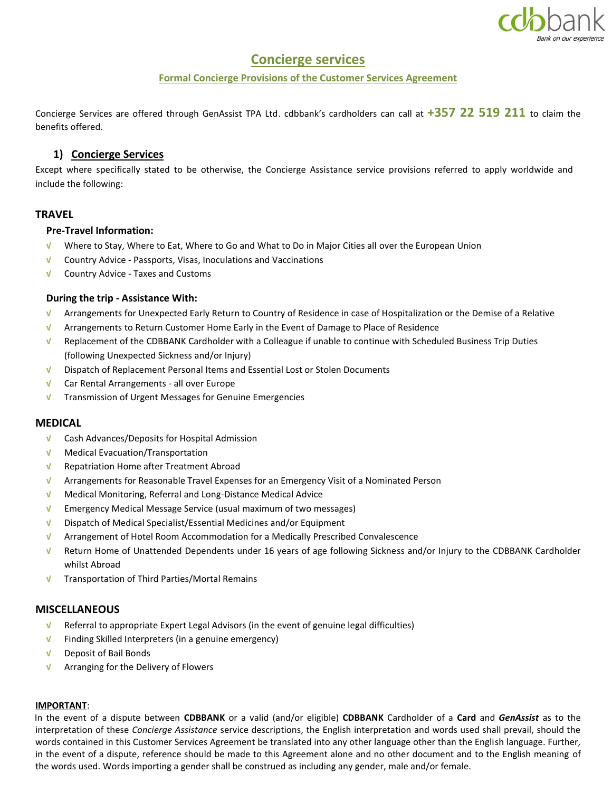

# **Concierge services**

## **Formal Concierge Provisions of the Customer Services Agreement**

Concierge Services are offered through GenAssist TPA Ltd. cdbbank's cardholders can call at **+357 22 519 211** to claim the benefits offered.

# **1) Concierge Services**

Except where specifically stated to be otherwise, the Concierge Assistance service provisions referred to apply worldwide and include the following:

## **TRAVEL**

## **Pre-Travel Information:**

- **√** Where to Stay, Where to Eat, Where to Go and What to Do in Major Cities all over the European Union
- **√** Country Advice Passports, Visas, Inoculations and Vaccinations
- **√** Country Advice Taxes and Customs

## **During the trip - Assistance With:**

- **√** Arrangements for Unexpected Early Return to Country of Residence in case of Hospitalization or the Demise of a Relative
- **√** Arrangements to Return Customer Home Early in the Event of Damage to Place of Residence
- **√** Replacement of the CDBBANK Cardholder with a Colleague if unable to continue with Scheduled Business Trip Duties (following Unexpected Sickness and/or Injury)
- **√** Dispatch of Replacement Personal Items and Essential Lost or Stolen Documents
- **√** Car Rental Arrangements all over Europe
- **√** Transmission of Urgent Messages for Genuine Emergencies

## **MEDICAL**

- **√** Cash Advances/Deposits for Hospital Admission
- **√** Medical Evacuation/Transportation
- **√** Repatriation Home after Treatment Abroad
- **√** Arrangements for Reasonable Travel Expenses for an Emergency Visit of a Nominated Person
- **√** Medical Monitoring, Referral and Long-Distance Medical Advice
- **√** Emergency Medical Message Service (usual maximum of two messages)
- **√** Dispatch of Medical Specialist/Essential Medicines and/or Equipment
- **√** Arrangement of Hotel Room Accommodation for a Medically Prescribed Convalescence
- **√** Return Home of Unattended Dependents under 16 years of age following Sickness and/or Injury to the CDBBANK Cardholder whilst Abroad
- **√** Transportation of Third Parties/Mortal Remains

## **MISCELLANEOUS**

- **√** Referral to appropriate Expert Legal Advisors (in the event of genuine legal difficulties)
- **√** Finding Skilled Interpreters (in a genuine emergency)
- **√** Deposit of Bail Bonds
- **√** Arranging for the Delivery of Flowers

#### **IMPORTANT**:

In the event of a dispute between **CDBBANK** or a valid (and/or eligible) **CDBBANK** Cardholder of a **Card** and *GenAssist* as to the interpretation of these *Concierge Assistance* service descriptions, the English interpretation and words used shall prevail, should the words contained in this Customer Services Agreement be translated into any other language other than the English language. Further, in the event of a dispute, reference should be made to this Agreement alone and no other document and to the English meaning of the words used. Words importing a gender shall be construed as including any gender, male and/or female.